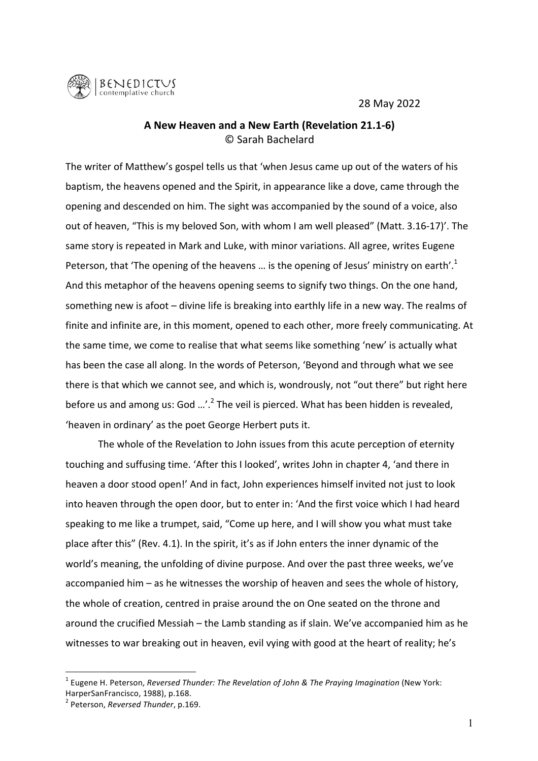28 May 2022



## **A New Heaven and a New Earth (Revelation 21.1-6)** © Sarah Bachelard

The writer of Matthew's gospel tells us that 'when Jesus came up out of the waters of his baptism, the heavens opened and the Spirit, in appearance like a dove, came through the opening and descended on him. The sight was accompanied by the sound of a voice, also out of heaven, "This is my beloved Son, with whom I am well pleased" (Matt. 3.16-17)'. The same story is repeated in Mark and Luke, with minor variations. All agree, writes Eugene Peterson, that 'The opening of the heavens ... is the opening of Jesus' ministry on earth'.<sup>1</sup> And this metaphor of the heavens opening seems to signify two things. On the one hand, something new is afoot – divine life is breaking into earthly life in a new way. The realms of finite and infinite are, in this moment, opened to each other, more freely communicating. At the same time, we come to realise that what seems like something 'new' is actually what has been the case all along. In the words of Peterson, 'Beyond and through what we see there is that which we cannot see, and which is, wondrously, not "out there" but right here before us and among us: God  $\ldots$ '.<sup>2</sup> The veil is pierced. What has been hidden is revealed, 'heaven in ordinary' as the poet George Herbert puts it.

The whole of the Revelation to John issues from this acute perception of eternity touching and suffusing time. 'After this I looked', writes John in chapter 4, 'and there in heaven a door stood open!' And in fact, John experiences himself invited not just to look into heaven through the open door, but to enter in: 'And the first voice which I had heard speaking to me like a trumpet, said, "Come up here, and I will show you what must take place after this" (Rev. 4.1). In the spirit, it's as if John enters the inner dynamic of the world's meaning, the unfolding of divine purpose. And over the past three weeks, we've accompanied  $\lim -$  as he witnesses the worship of heaven and sees the whole of history, the whole of creation, centred in praise around the on One seated on the throne and around the crucified Messiah – the Lamb standing as if slain. We've accompanied him as he witnesses to war breaking out in heaven, evil vying with good at the heart of reality; he's

<sup>&</sup>lt;sup>1</sup> Eugene H. Peterson, *Reversed Thunder: The Revelation of John & The Praying Imagination* (New York: HarperSanFrancisco, 1988), p.168.

<sup>&</sup>lt;sup>2</sup> Peterson, *Reversed Thunder*, p.169.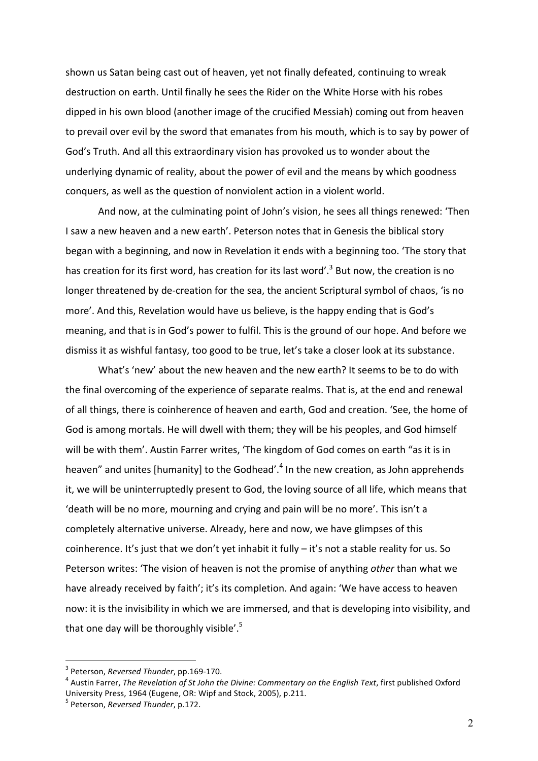shown us Satan being cast out of heaven, yet not finally defeated, continuing to wreak destruction on earth. Until finally he sees the Rider on the White Horse with his robes dipped in his own blood (another image of the crucified Messiah) coming out from heaven to prevail over evil by the sword that emanates from his mouth, which is to say by power of God's Truth. And all this extraordinary vision has provoked us to wonder about the underlying dynamic of reality, about the power of evil and the means by which goodness conquers, as well as the question of nonviolent action in a violent world.

And now, at the culminating point of John's vision, he sees all things renewed: 'Then I saw a new heaven and a new earth'. Peterson notes that in Genesis the biblical story began with a beginning, and now in Revelation it ends with a beginning too. 'The story that has creation for its first word, has creation for its last word'.<sup>3</sup> But now, the creation is no longer threatened by de-creation for the sea, the ancient Scriptural symbol of chaos, 'is no more'. And this, Revelation would have us believe, is the happy ending that is God's meaning, and that is in God's power to fulfil. This is the ground of our hope. And before we dismiss it as wishful fantasy, too good to be true, let's take a closer look at its substance.

What's 'new' about the new heaven and the new earth? It seems to be to do with the final overcoming of the experience of separate realms. That is, at the end and renewal of all things, there is coinherence of heaven and earth, God and creation. 'See, the home of God is among mortals. He will dwell with them; they will be his peoples, and God himself will be with them'. Austin Farrer writes, 'The kingdom of God comes on earth "as it is in heaven" and unites [humanity] to the Godhead'.<sup>4</sup> In the new creation, as John apprehends it, we will be uninterruptedly present to God, the loving source of all life, which means that 'death will be no more, mourning and crying and pain will be no more'. This isn't a completely alternative universe. Already, here and now, we have glimpses of this coinherence. It's just that we don't yet inhabit it fully  $-$  it's not a stable reality for us. So Peterson writes: 'The vision of heaven is not the promise of anything *other* than what we have already received by faith'; it's its completion. And again: 'We have access to heaven now: it is the invisibility in which we are immersed, and that is developing into visibility, and that one day will be thoroughly visible'. $5$ 

<sup>&</sup>lt;sup>3</sup> Peterson, *Reversed Thunder*, pp.169-170.<br><sup>4</sup> Austin Farrer, *The Revelation of St John the Divine: Commentary on the English Text, first published Oxford* University Press, 1964 (Eugene, OR: Wipf and Stock, 2005), p.211.

<sup>&</sup>lt;sup>5</sup> Peterson, *Reversed Thunder*, p.172.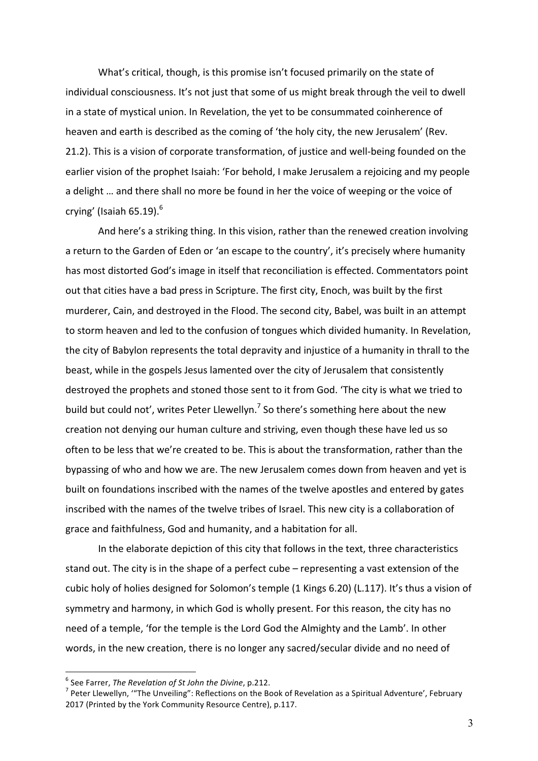What's critical, though, is this promise isn't focused primarily on the state of individual consciousness. It's not just that some of us might break through the veil to dwell in a state of mystical union. In Revelation, the yet to be consummated coinherence of heaven and earth is described as the coming of 'the holy city, the new Jerusalem' (Rev. 21.2). This is a vision of corporate transformation, of justice and well-being founded on the earlier vision of the prophet Isaiah: 'For behold, I make Jerusalem a rejoicing and my people a delight ... and there shall no more be found in her the voice of weeping or the voice of crying' (Isaiah  $65.19$ ).<sup>6</sup>

And here's a striking thing. In this vision, rather than the renewed creation involving a return to the Garden of Eden or 'an escape to the country', it's precisely where humanity has most distorted God's image in itself that reconciliation is effected. Commentators point out that cities have a bad press in Scripture. The first city, Enoch, was built by the first murderer, Cain, and destroyed in the Flood. The second city, Babel, was built in an attempt to storm heaven and led to the confusion of tongues which divided humanity. In Revelation, the city of Babylon represents the total depravity and injustice of a humanity in thrall to the beast, while in the gospels Jesus lamented over the city of Jerusalem that consistently destroyed the prophets and stoned those sent to it from God. 'The city is what we tried to build but could not', writes Peter Llewellyn.<sup>7</sup> So there's something here about the new creation not denying our human culture and striving, even though these have led us so often to be less that we're created to be. This is about the transformation, rather than the bypassing of who and how we are. The new Jerusalem comes down from heaven and yet is built on foundations inscribed with the names of the twelve apostles and entered by gates inscribed with the names of the twelve tribes of Israel. This new city is a collaboration of grace and faithfulness, God and humanity, and a habitation for all.

In the elaborate depiction of this city that follows in the text, three characteristics stand out. The city is in the shape of a perfect cube – representing a vast extension of the cubic holy of holies designed for Solomon's temple (1 Kings 6.20) (L.117). It's thus a vision of symmetry and harmony, in which God is wholly present. For this reason, the city has no need of a temple, 'for the temple is the Lord God the Almighty and the Lamb'. In other words, in the new creation, there is no longer any sacred/secular divide and no need of

<sup>&</sup>lt;sup>6</sup> See Farrer, *The Revelation of St John the Divine*, p.212.<br><sup>7</sup> Peter Llewellyn, '"The Unveiling": Reflections on the Book of Revelation as a Spiritual Adventure', February 2017 (Printed by the York Community Resource Centre), p.117.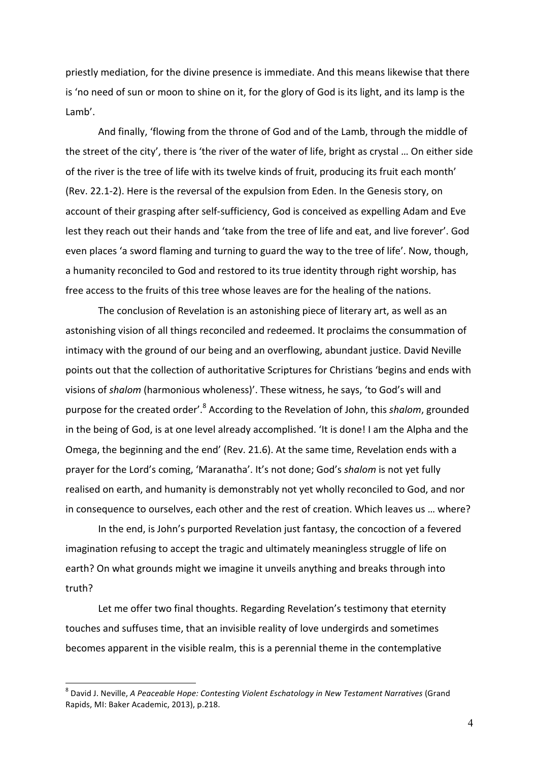priestly mediation, for the divine presence is immediate. And this means likewise that there is 'no need of sun or moon to shine on it, for the glory of God is its light, and its lamp is the Lamb'. 

And finally, 'flowing from the throne of God and of the Lamb, through the middle of the street of the city', there is 'the river of the water of life, bright as crystal ... On either side of the river is the tree of life with its twelve kinds of fruit, producing its fruit each month' (Rev. 22.1-2). Here is the reversal of the expulsion from Eden. In the Genesis story, on account of their grasping after self-sufficiency, God is conceived as expelling Adam and Eve lest they reach out their hands and 'take from the tree of life and eat, and live forever'. God even places 'a sword flaming and turning to guard the way to the tree of life'. Now, though, a humanity reconciled to God and restored to its true identity through right worship, has free access to the fruits of this tree whose leaves are for the healing of the nations.

The conclusion of Revelation is an astonishing piece of literary art, as well as an astonishing vision of all things reconciled and redeemed. It proclaims the consummation of intimacy with the ground of our being and an overflowing, abundant justice. David Neville points out that the collection of authoritative Scriptures for Christians 'begins and ends with visions of *shalom* (harmonious wholeness)'. These witness, he says, 'to God's will and purpose for the created order'.<sup>8</sup> According to the Revelation of John, this *shalom*, grounded in the being of God, is at one level already accomplished. 'It is done! I am the Alpha and the Omega, the beginning and the end' (Rev. 21.6). At the same time, Revelation ends with a prayer for the Lord's coming, 'Maranatha'. It's not done; God's shalom is not yet fully realised on earth, and humanity is demonstrably not yet wholly reconciled to God, and nor in consequence to ourselves, each other and the rest of creation. Which leaves us ... where?

In the end, is John's purported Revelation just fantasy, the concoction of a fevered imagination refusing to accept the tragic and ultimately meaningless struggle of life on earth? On what grounds might we imagine it unveils anything and breaks through into truth? 

Let me offer two final thoughts. Regarding Revelation's testimony that eternity touches and suffuses time, that an invisible reality of love undergirds and sometimes becomes apparent in the visible realm, this is a perennial theme in the contemplative

4

<sup>&</sup>lt;sup>8</sup> David J. Neville, A Peaceable Hope: Contesting Violent Eschatology in New Testament Narratives (Grand Rapids, MI: Baker Academic, 2013), p.218.